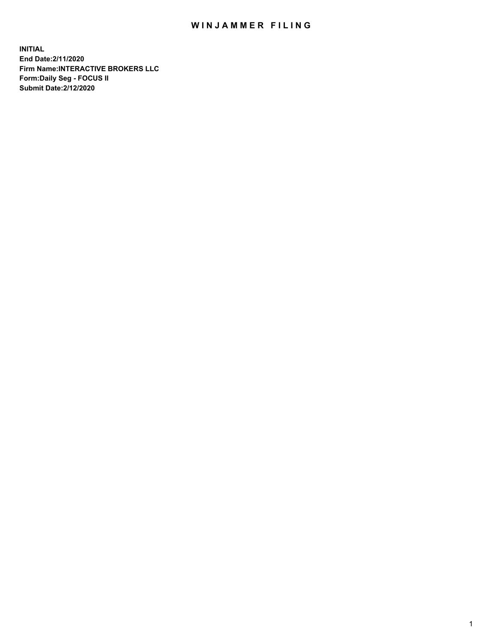## WIN JAMMER FILING

**INITIAL End Date:2/11/2020 Firm Name:INTERACTIVE BROKERS LLC Form:Daily Seg - FOCUS II Submit Date:2/12/2020**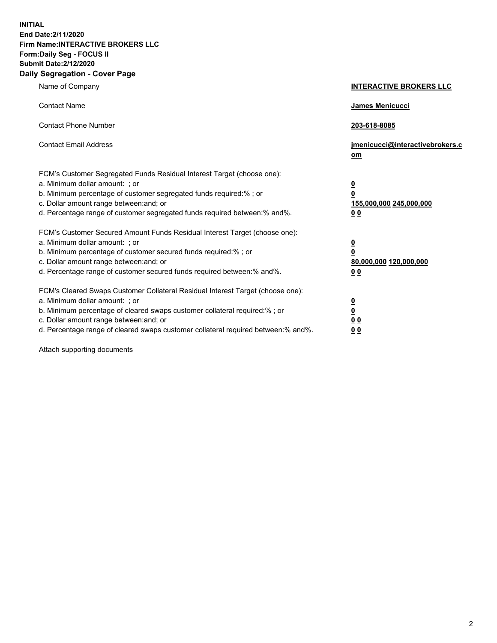**INITIAL End Date:2/11/2020 Firm Name:INTERACTIVE BROKERS LLC Form:Daily Seg - FOCUS II Submit Date:2/12/2020 Daily Segregation - Cover Page**

| Name of Company                                                                                                                                                                                                                                                                                                                | <b>INTERACTIVE BROKERS LLC</b>                                                                  |
|--------------------------------------------------------------------------------------------------------------------------------------------------------------------------------------------------------------------------------------------------------------------------------------------------------------------------------|-------------------------------------------------------------------------------------------------|
| <b>Contact Name</b>                                                                                                                                                                                                                                                                                                            | <b>James Menicucci</b>                                                                          |
| <b>Contact Phone Number</b>                                                                                                                                                                                                                                                                                                    | 203-618-8085                                                                                    |
| <b>Contact Email Address</b>                                                                                                                                                                                                                                                                                                   | jmenicucci@interactivebrokers.c<br>om                                                           |
| FCM's Customer Segregated Funds Residual Interest Target (choose one):<br>a. Minimum dollar amount: ; or<br>b. Minimum percentage of customer segregated funds required:% ; or<br>c. Dollar amount range between: and; or<br>d. Percentage range of customer segregated funds required between: % and %.                       | $\overline{\mathbf{0}}$<br>$\overline{\mathbf{0}}$<br>155,000,000 245,000,000<br>0 <sub>0</sub> |
| FCM's Customer Secured Amount Funds Residual Interest Target (choose one):<br>a. Minimum dollar amount: ; or<br>b. Minimum percentage of customer secured funds required:%; or<br>c. Dollar amount range between: and; or<br>d. Percentage range of customer secured funds required between:% and%.                            | $\overline{\mathbf{0}}$<br>$\overline{\mathbf{0}}$<br>80,000,000 120,000,000<br>0 <sub>0</sub>  |
| FCM's Cleared Swaps Customer Collateral Residual Interest Target (choose one):<br>a. Minimum dollar amount: ; or<br>b. Minimum percentage of cleared swaps customer collateral required:% ; or<br>c. Dollar amount range between: and; or<br>d. Percentage range of cleared swaps customer collateral required between:% and%. | $\overline{\mathbf{0}}$<br>$\underline{\mathbf{0}}$<br>0 <sub>0</sub><br>00                     |

Attach supporting documents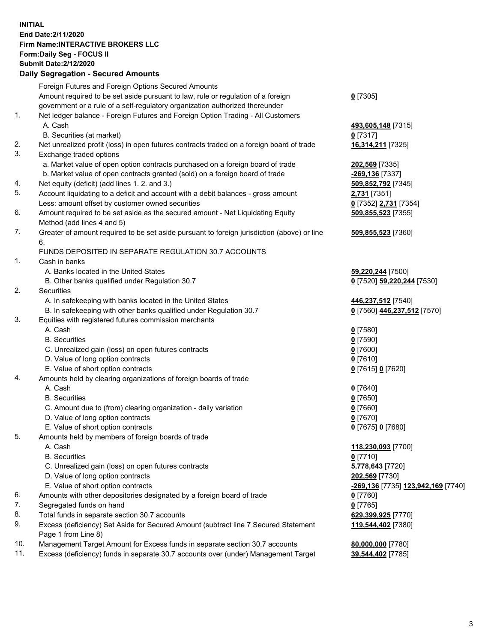## **INITIAL End Date:2/11/2020 Firm Name:INTERACTIVE BROKERS LLC Form:Daily Seg - FOCUS II Submit Date:2/12/2020**

|            | <b>Daily Segregation - Secured Amounts</b>                                                  |                                                  |
|------------|---------------------------------------------------------------------------------------------|--------------------------------------------------|
|            | Foreign Futures and Foreign Options Secured Amounts                                         |                                                  |
|            | Amount required to be set aside pursuant to law, rule or regulation of a foreign            | $0$ [7305]                                       |
|            | government or a rule of a self-regulatory organization authorized thereunder                |                                                  |
| 1.         | Net ledger balance - Foreign Futures and Foreign Option Trading - All Customers             |                                                  |
|            | A. Cash                                                                                     | 493,605,148 [7315]                               |
|            | B. Securities (at market)                                                                   | $0$ [7317]                                       |
| 2.         | Net unrealized profit (loss) in open futures contracts traded on a foreign board of trade   | 16,314,211 [7325]                                |
| 3.         | Exchange traded options                                                                     |                                                  |
|            | a. Market value of open option contracts purchased on a foreign board of trade              | 202,569 [7335]                                   |
|            | b. Market value of open contracts granted (sold) on a foreign board of trade                | $-269,136$ [7337]                                |
| 4.         | Net equity (deficit) (add lines 1.2. and 3.)                                                | 509,852,792 [7345]                               |
| 5.         | Account liquidating to a deficit and account with a debit balances - gross amount           | <b>2,731</b> [7351]                              |
|            | Less: amount offset by customer owned securities                                            | 0 [7352] 2,731 [7354]                            |
| 6.         | Amount required to be set aside as the secured amount - Net Liquidating Equity              | 509,855,523 [7355]                               |
|            | Method (add lines 4 and 5)                                                                  |                                                  |
| 7.         | Greater of amount required to be set aside pursuant to foreign jurisdiction (above) or line | 509,855,523 [7360]                               |
|            | 6.                                                                                          |                                                  |
|            | FUNDS DEPOSITED IN SEPARATE REGULATION 30.7 ACCOUNTS                                        |                                                  |
| 1.         | Cash in banks                                                                               |                                                  |
|            | A. Banks located in the United States                                                       | 59,220,244 [7500]                                |
|            | B. Other banks qualified under Regulation 30.7                                              | 0 [7520] 59,220,244 [7530]                       |
| 2.         | Securities                                                                                  |                                                  |
|            | A. In safekeeping with banks located in the United States                                   | 446,237,512 [7540]                               |
|            | B. In safekeeping with other banks qualified under Regulation 30.7                          | 0 [7560] 446,237,512 [7570]                      |
| 3.         | Equities with registered futures commission merchants                                       |                                                  |
|            | A. Cash                                                                                     | $0$ [7580]                                       |
|            | <b>B.</b> Securities                                                                        | $0$ [7590]                                       |
|            | C. Unrealized gain (loss) on open futures contracts                                         | $0$ [7600]                                       |
|            | D. Value of long option contracts                                                           | $0$ [7610]                                       |
|            | E. Value of short option contracts                                                          | 0 [7615] 0 [7620]                                |
| 4.         | Amounts held by clearing organizations of foreign boards of trade                           |                                                  |
|            | A. Cash                                                                                     | $0$ [7640]                                       |
|            | <b>B.</b> Securities                                                                        | $0$ [7650]                                       |
|            | C. Amount due to (from) clearing organization - daily variation                             | $0$ [7660]                                       |
|            | D. Value of long option contracts                                                           | $0$ [7670]                                       |
|            | E. Value of short option contracts                                                          | 0 [7675] 0 [7680]                                |
| 5.         | Amounts held by members of foreign boards of trade                                          |                                                  |
|            | A. Cash                                                                                     | 118,230,093 [7700]                               |
|            | <b>B.</b> Securities                                                                        | $0$ [7710]                                       |
|            | C. Unrealized gain (loss) on open futures contracts                                         | 5,778,643 [7720]                                 |
|            | D. Value of long option contracts                                                           | 202,569 [7730]                                   |
|            | E. Value of short option contracts                                                          | <u>-269,136</u> [7735] <u>123,942,169</u> [7740] |
| 6.         | Amounts with other depositories designated by a foreign board of trade                      | 0 [7760]                                         |
| 7.         | Segregated funds on hand                                                                    | $0$ [7765]                                       |
| 8.         | Total funds in separate section 30.7 accounts                                               | 629,399,925 [7770]                               |
| 9.         | Excess (deficiency) Set Aside for Secured Amount (subtract line 7 Secured Statement         | 119,544,402 [7380]                               |
|            | Page 1 from Line 8)                                                                         |                                                  |
| 10.<br>11. | Management Target Amount for Excess funds in separate section 30.7 accounts                 | 80,000,000 [7780]                                |
|            | Excess (deficiency) funds in separate 30.7 accounts over (under) Management Target          | 39,544,402 [7785]                                |
|            |                                                                                             |                                                  |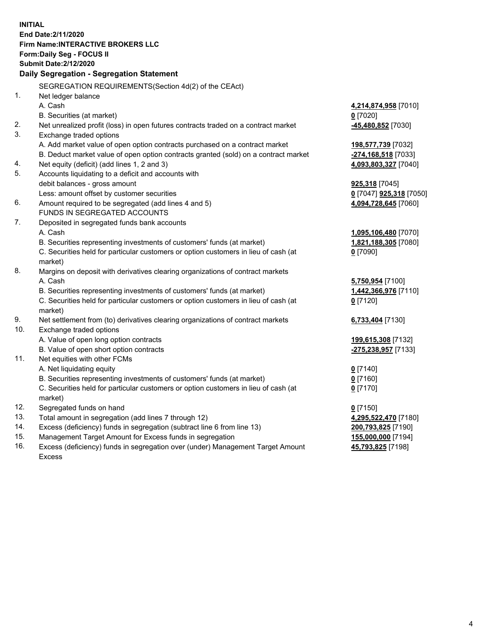**INITIAL End Date:2/11/2020 Firm Name:INTERACTIVE BROKERS LLC Form:Daily Seg - FOCUS II Submit Date:2/12/2020 Daily Segregation - Segregation Statement** SEGREGATION REQUIREMENTS(Section 4d(2) of the CEAct) 1. Net ledger balance A. Cash **4,214,874,958** [7010] B. Securities (at market) **0** [7020] 2. Net unrealized profit (loss) in open futures contracts traded on a contract market **-45,480,852** [7030] 3. Exchange traded options A. Add market value of open option contracts purchased on a contract market **198,577,739** [7032] B. Deduct market value of open option contracts granted (sold) on a contract market **-274,168,518** [7033] 4. Net equity (deficit) (add lines 1, 2 and 3) **4,093,803,327** [7040] 5. Accounts liquidating to a deficit and accounts with debit balances - gross amount **925,318** [7045] Less: amount offset by customer securities **0** [7047] **925,318** [7050] 6. Amount required to be segregated (add lines 4 and 5) **4,094,728,645** [7060] FUNDS IN SEGREGATED ACCOUNTS 7. Deposited in segregated funds bank accounts A. Cash **1,095,106,480** [7070] B. Securities representing investments of customers' funds (at market) **1,821,188,305** [7080] C. Securities held for particular customers or option customers in lieu of cash (at market) **0** [7090] 8. Margins on deposit with derivatives clearing organizations of contract markets A. Cash **5,750,954** [7100] B. Securities representing investments of customers' funds (at market) **1,442,366,976** [7110] C. Securities held for particular customers or option customers in lieu of cash (at market) **0** [7120] 9. Net settlement from (to) derivatives clearing organizations of contract markets **6,733,404** [7130] 10. Exchange traded options A. Value of open long option contracts **199,615,308** [7132] B. Value of open short option contracts **-275,238,957** [7133] 11. Net equities with other FCMs A. Net liquidating equity **0** [7140] B. Securities representing investments of customers' funds (at market) **0** [7160] C. Securities held for particular customers or option customers in lieu of cash (at market) **0** [7170] 12. Segregated funds on hand **0** [7150] 13. Total amount in segregation (add lines 7 through 12) **4,295,522,470** [7180] 14. Excess (deficiency) funds in segregation (subtract line 6 from line 13) **200,793,825** [7190] 15. Management Target Amount for Excess funds in segregation **155,000,000** [7194]

16. Excess (deficiency) funds in segregation over (under) Management Target Amount Excess

**45,793,825** [7198]